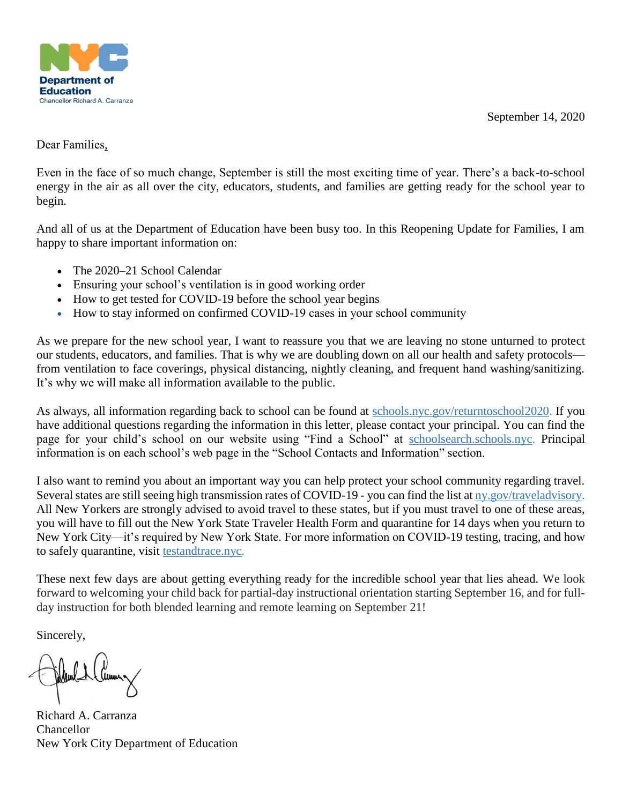September 14, 2020



Dear Families,

Even in the face of so much change, September is still the most exciting time of year. There's a back-to-school energy in the air as all over the city, educators, students, and families are getting ready for the school year to begin.

And all of us at the Department of Education have been busy too. In this Reopening Update for Families, I am happy to share important information on:

- The 2020–21 School Calendar
- Ensuring your school's ventilation is in good working order
- How to get tested for COVID-19 before the school year begins
- How to stay informed on confirmed COVID-19 cases in your school community

As we prepare for the new school year, I want to reassure you that we are leaving no stone unturned to protect our students, educators, and families. That is why we are doubling down on all our health and safety protocols from ventilation to face coverings, physical distancing, nightly cleaning, and frequent hand washing/sanitizing. It's why we will make all information available to the public.

As always, all information regarding back to school can be found at [schools.nyc.gov/returntoschool2020.](https://www.schools.nyc.gov/school-year-20-21/return-to-school-2020/health-and-safety) If you have additional questions regarding the information in this letter, please contact your principal. You can find the page for your child's school on our website using "Find a School" at [schoolsearch.schools.nyc.](https://schoolsearch.schools.nyc/) Principal information is on each school's web page in the "School Contacts and Information" section.

I also want to remind you about an important way you can help protect your school community regarding travel. Several states are still seeing high transmission rates of COVID-19 - you can find the list at [ny.gov/traveladvisory.](https://nam01.safelinks.protection.outlook.com/?url=http%3A%2F%2Fny.gov%2Ftraveladvisory&data=02%7C01%7CLLaurence%40schools.nyc.gov%7C0b5702117f0941a21cff08d855a0b223%7C18492cb7ef45456185710c42e5f7ac07%7C0%7C0%7C637353495949674962&sdata=9OYD3dssQoPgudDfChchFH8SfxfIX4U0xCgmNTcHFj8%3D&reserved=0) All New Yorkers are strongly advised to avoid travel to these states, but if you must travel to one of these areas, you will have to fill out the New York State Traveler Health Form and quarantine for 14 days when you return to New York City—it's required by New York State. For more information on COVID-19 testing, tracing, and how to safely quarantine, visit [testandtrace.nyc.](http://testandtrace.nyc/)

These next few days are about getting everything ready for the incredible school year that lies ahead. We look forward to welcoming your child back for partial-day instructional orientation starting September 16, and for fullday instruction for both blended learning and remote learning on September 21!

Sincerely,

Richard A. Carranza **Chancellor** New York City Department of Education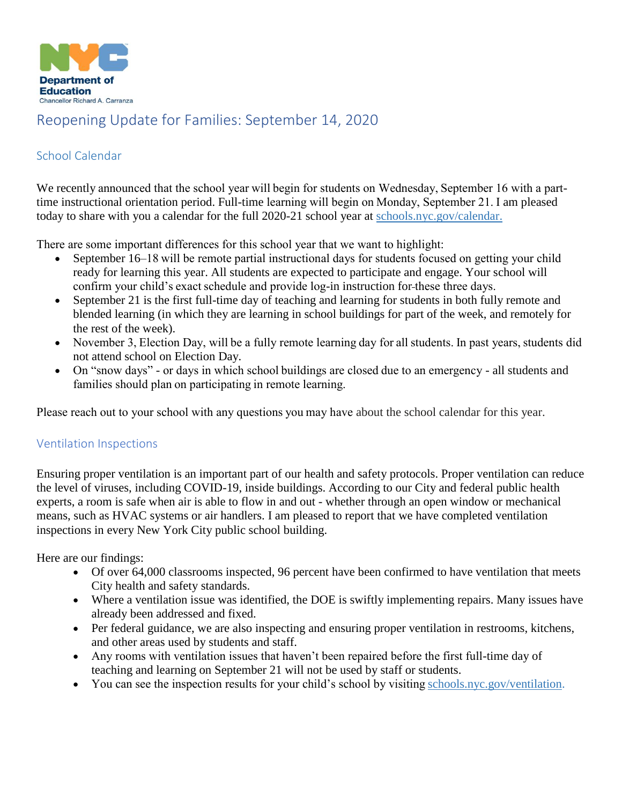

# Reopening Update for Families: September 14, 2020

## School Calendar

We recently announced that the school year will begin for students on Wednesday, September 16 with a parttime instructional orientation period. Full-time learning will begin on Monday, September 21. I am pleased today to share with you a calendar for the full 2020-21 school year at [schools.nyc.gov/calendar.](https://www.schools.nyc.gov/calendar)

There are some important differences for this school year that we want to highlight: 

- September 16–18 will be remote partial instructional days for students focused on getting your child ready for learning this year. All students are expected to participate and engage. Your school will confirm your child's exact schedule and provide log-in instruction for these three days.
- September 21 is the first full-time day of teaching and learning for students in both fully remote and blended learning (in which they are learning in school buildings for part of the week, and remotely for the rest of the week).
- November 3, Election Day, will be a fully remote learning day for all students. In past years, students did not attend school on Election Day.
- On "snow days" or days in which school buildings are closed due to an emergency all students and families should plan on participating in remote learning.

Please reach out to your school with any questions you may have about the school calendar for this year.

### Ventilation Inspections

Ensuring proper ventilation is an important part of our health and safety protocols. Proper ventilation can reduce the level of viruses, including COVID-19, inside buildings. According to our City and federal public health experts, a room is safe when air is able to flow in and out - whether through an open window or mechanical means, such as HVAC systems or air handlers. I am pleased to report that we have completed ventilation inspections in every New York City public school building.

Here are our findings:   

- Of over 64,000 classrooms inspected, 96 percent have been confirmed to have ventilation that meets City health and safety standards.
- Where a ventilation issue was identified, the DOE is swiftly implementing repairs. Many issues have already been addressed and fixed.
- Per federal guidance, we are also inspecting and ensuring proper ventilation in restrooms, kitchens, and other areas used by students and staff.
- Any rooms with ventilation issues that haven't been repaired before the first full-time day of teaching and learning on September 21 will not be used by staff or students.
- You can see the inspection results for your child's school by visiting schools.nyc.gov/ventilation.